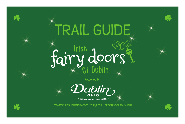## Irish Of Dubli<sup>n</sup> s TRAIL GUIDE

**Powered by**



**CONVENTION + VISITORS BUREAU** 

**www.VisitDublinOhio.com/fairytrail | #FairyDoorsofDublin**



 $\frac{1}{2}$